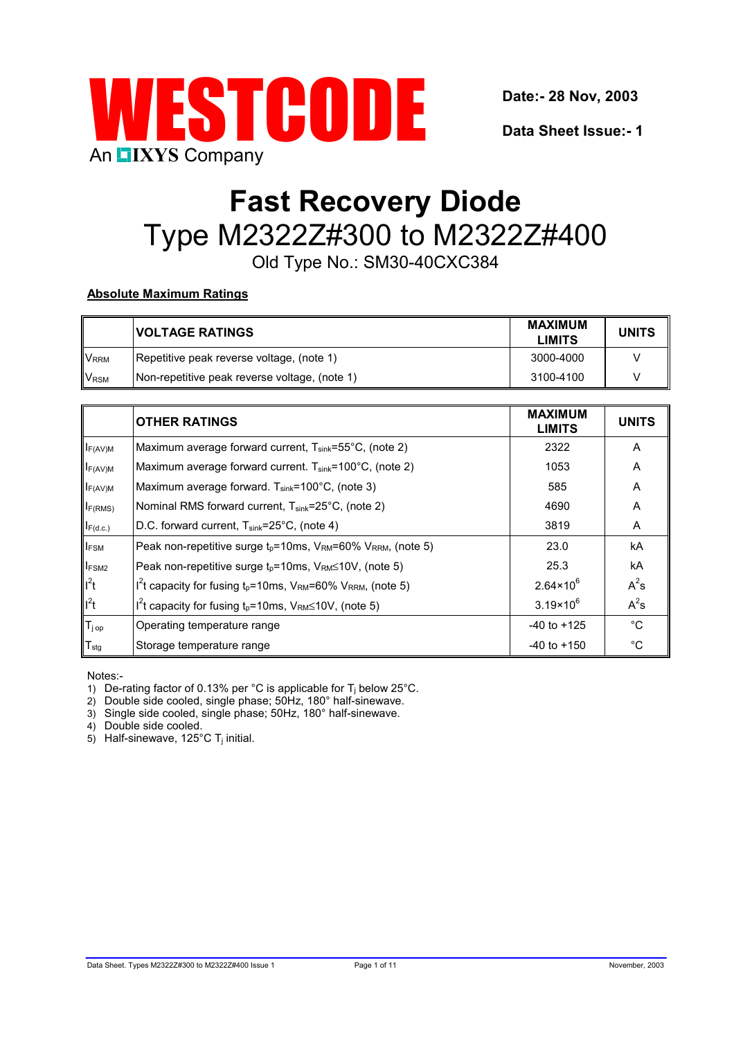

**Data Sheet Issue:- 1**

# **Fast Recovery Diode** Type M2322Z#300 to M2322Z#400

Old Type No.: SM30-40CXC384

# **Absolute Maximum Ratings**

|                         | <b>IVOLTAGE RATINGS</b>                        | MAXIMUM<br><b>LIMITS</b> | <b>UNITS</b> |
|-------------------------|------------------------------------------------|--------------------------|--------------|
| <b>V</b> <sub>RRM</sub> | Repetitive peak reverse voltage, (note 1)      | 3000-4000                |              |
| <b>V<sub>RSM</sub></b>  | (Non-repetitive peak reverse voltage, (note 1) | 3100-4100                |              |

|                   | <b>OTHER RATINGS</b>                                                                                        | <b>MAXIMUM</b><br><b>LIMITS</b> | <b>UNITS</b> |
|-------------------|-------------------------------------------------------------------------------------------------------------|---------------------------------|--------------|
| $I_{F(AV)M}$      | Maximum average forward current, $T_{sink} = 55^{\circ}$ C, (note 2)                                        | 2322                            | Α            |
| $I_{F(AV)M}$      | Maximum average forward current. $T_{\text{sink}}$ =100°C, (note 2)                                         | 1053                            | A            |
| $I_{F(AV)M}$      | Maximum average forward. $T_{sink}$ =100°C, (note 3)                                                        | 585                             | A            |
| $I_{F(RMS)}$      | Nominal RMS forward current, $T_{sink} = 25^{\circ}C$ , (note 2)                                            | 4690                            | A            |
| $I_{F(d.c.)}$     | D.C. forward current, T <sub>sink</sub> =25°C, (note 4)                                                     | 3819                            | Α            |
| $I_{FSM}$         | Peak non-repetitive surge $t_0$ =10ms, $V_{RM}$ =60% $V_{RRM}$ , (note 5)                                   | 23.0                            | kA           |
| <b>IFSM2</b>      | Peak non-repetitive surge $t_p = 10$ ms, $V_{RM} \le 10V$ , (note 5)                                        | 25.3                            | kA           |
| $I^2t$            | I <sup>2</sup> t capacity for fusing t <sub>p</sub> =10ms, $V_{\text{RM}}$ =60% $V_{\text{RRM}}$ , (note 5) | $2.64 \times 10^{6}$            | $A^2s$       |
| $I^2t$            | I <sup>2</sup> t capacity for fusing $t_p = 10$ ms, $V_{\text{RM}} \le 10V$ , (note 5)                      | $3.19 \times 10^{6}$            | $A^2s$       |
| T <sub>j op</sub> | Operating temperature range                                                                                 | $-40$ to $+125$                 | $^{\circ}C$  |
| $T_{\text{stg}}$  | Storage temperature range                                                                                   | $-40$ to $+150$                 | $^{\circ}C$  |

Notes:-

- 1) De-rating factor of 0.13% per  $^{\circ}$ C is applicable for T<sub>i</sub> below 25 $^{\circ}$ C.
- 2) Double side cooled, single phase; 50Hz, 180° half-sinewave.
- 3) Single side cooled, single phase; 50Hz, 180° half-sinewave.

4) Double side cooled.

 $5$ ) Half-sinewave, 125 $^{\circ}$ C T<sub>i</sub> initial.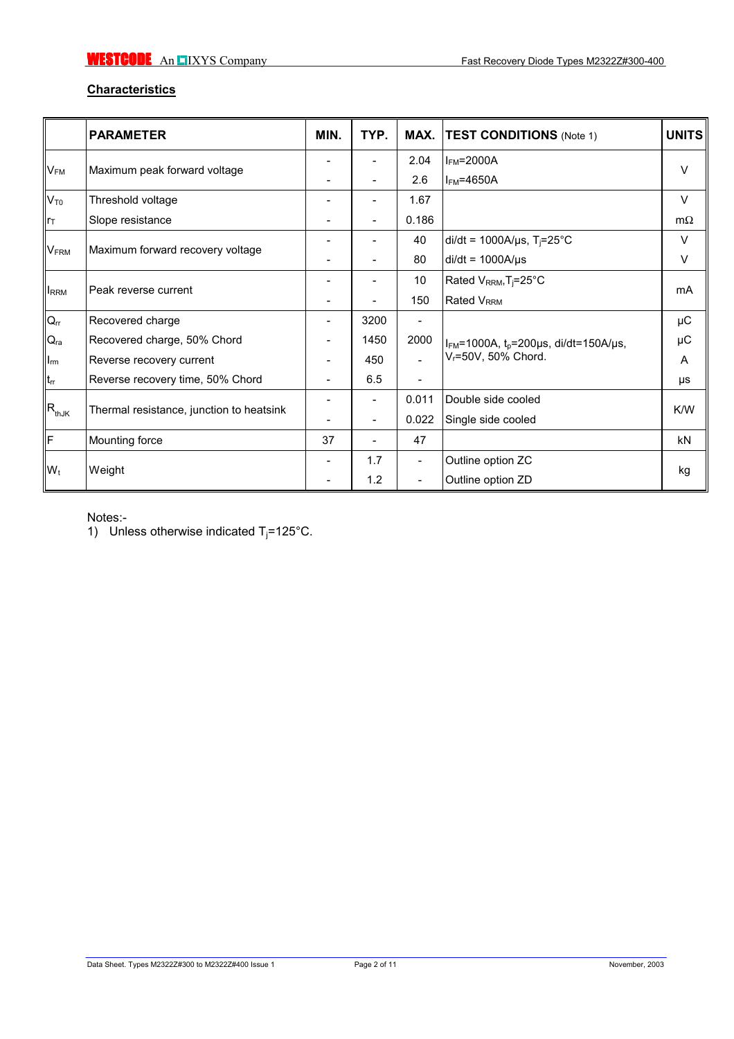# **Characteristics**

|                        | <b>PARAMETER</b>                         | MIN. | TYP.                     | MAX.                     | <b>TEST CONDITIONS</b> (Note 1)               | <b>UNITS</b> |  |
|------------------------|------------------------------------------|------|--------------------------|--------------------------|-----------------------------------------------|--------------|--|
|                        |                                          |      |                          | 2.04                     | $I_{FM}$ =2000A                               | $\vee$       |  |
| $V_{FM}$               | Maximum peak forward voltage             |      | ۰                        | 2.6                      | $I_{FM}$ =4650A                               |              |  |
| $V_{T0}$               | Threshold voltage                        |      |                          | 1.67                     |                                               | $\vee$       |  |
| $ r_T$                 | Slope resistance                         |      | $\overline{\phantom{0}}$ | 0.186                    |                                               | $m\Omega$    |  |
|                        |                                          |      |                          | 40                       | $di/dt = 1000A/\mu s$ , T <sub>i</sub> =25°C  | V            |  |
| <b>V<sub>FRM</sub></b> | Maximum forward recovery voltage         |      |                          | 80                       | $di/dt = 1000A/\mu s$                         | V            |  |
| <b>IRRM</b>            |                                          |      |                          | 10                       | Rated V <sub>RRM</sub> , T <sub>j</sub> =25°C | mA           |  |
|                        | Peak reverse current                     |      |                          | 150                      | Rated V <sub>RRM</sub>                        |              |  |
| $Q_{rr}$               | Recovered charge                         | -    | 3200                     | $\overline{\phantom{a}}$ |                                               | μC           |  |
| $Q_{ra}$               | Recovered charge, 50% Chord              |      | 1450                     | 2000                     | $I_{FM}$ =1000A, $t_p$ =200µs, di/dt=150A/µs, | μC           |  |
| $I_{rm}$               | Reverse recovery current                 |      | 450                      |                          | V <sub>r</sub> =50V, 50% Chord.               | A            |  |
| $t_{rr}$               | Reverse recovery time, 50% Chord         |      | 6.5                      |                          |                                               | μs           |  |
|                        |                                          |      |                          | 0.011                    | Double side cooled                            | K/W          |  |
| $R_{thJK}$             | Thermal resistance, junction to heatsink |      |                          | 0.022                    | Single side cooled                            |              |  |
| llF                    | Mounting force                           | 37   |                          | 47                       |                                               | kN           |  |
|                        |                                          |      | 1.7                      | $\overline{\phantom{a}}$ | Outline option ZC                             |              |  |
| $W_t$                  | Weight                                   |      | 1.2                      | -                        | Outline option ZD                             | kg           |  |

Notes:-

1) Unless otherwise indicated  $T_j = 125^{\circ}$ C.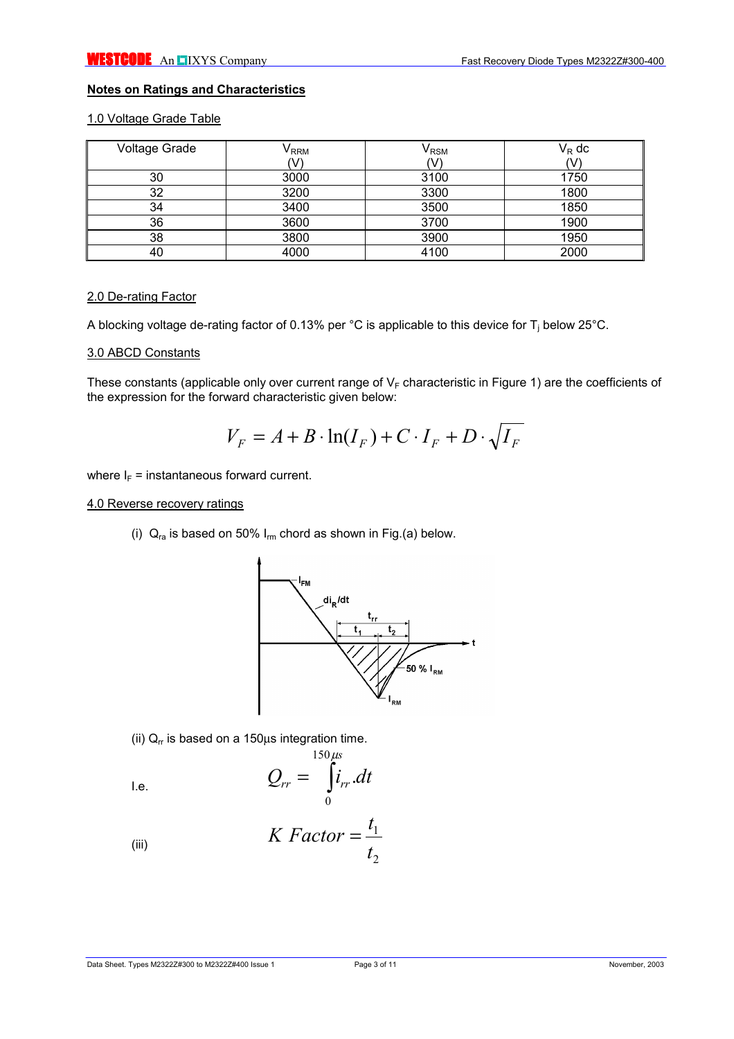## **Notes on Ratings and Characteristics**

# 1.0 Voltage Grade Table

| <b>Voltage Grade</b> | $\mathsf{V}_{\mathsf{RRM}}$ | $\mathsf{V}_{\mathsf{RSM}}$ | $V_R$ dc |
|----------------------|-----------------------------|-----------------------------|----------|
|                      | V                           |                             |          |
| 30                   | 3000                        | 3100                        | 1750     |
| 32                   | 3200                        | 3300                        | 1800     |
| 34                   | 3400                        | 3500                        | 1850     |
| 36                   | 3600                        | 3700                        | 1900     |
| 38                   | 3800                        | 3900                        | 1950     |
| 40                   | 4000                        | 4100                        | 2000     |

# 2.0 De-rating Factor

A blocking voltage de-rating factor of 0.13% per °C is applicable to this device for T<sub>j</sub> below 25°C.

#### 3.0 ABCD Constants

These constants (applicable only over current range of  $V_F$  characteristic in Figure 1) are the coefficients of the expression for the forward characteristic given below:

$$
V_F = A + B \cdot \ln(I_F) + C \cdot I_F + D \cdot \sqrt{I_F}
$$

where  $I_F$  = instantaneous forward current.

#### 4.0 Reverse recovery ratings

(i)  $Q_{ra}$  is based on 50%  $I_{rm}$  chord as shown in Fig.(a) below.



(ii)  $Q_r$  is based on a 150 $\mu$ s integration time.

$$
Q_{rr} = \int_{0}^{150 \mu s} i_{rr} dt
$$

(iii) 
$$
K \; Factor = \frac{t_1}{t_2}
$$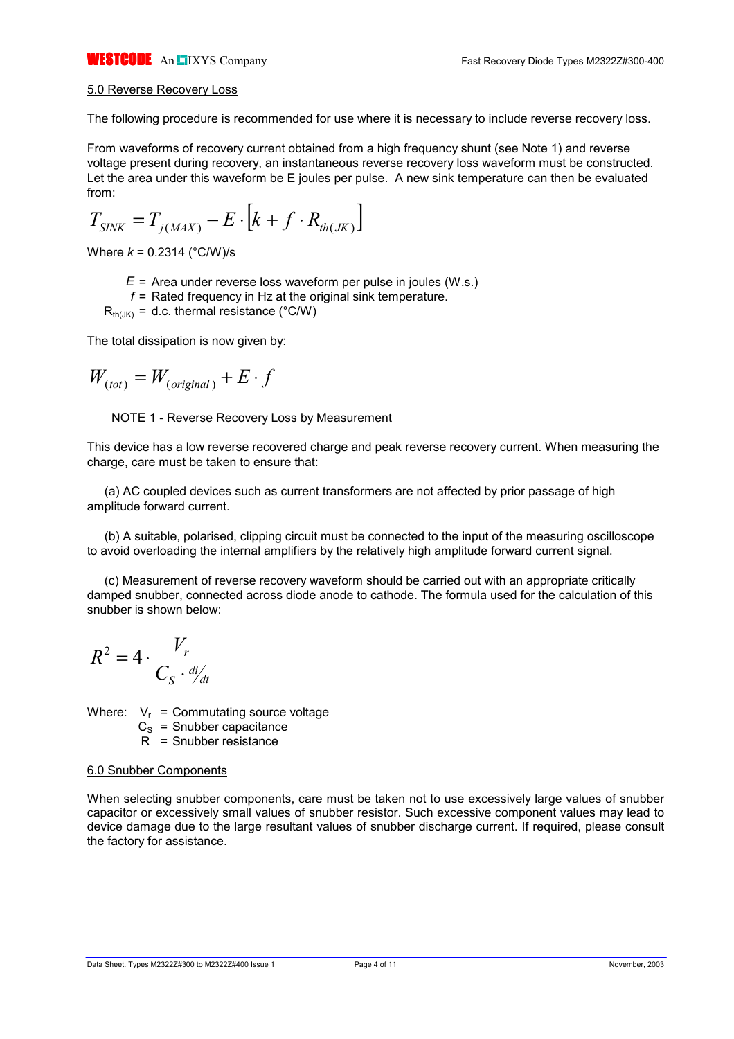### 5.0 Reverse Recovery Loss

The following procedure is recommended for use where it is necessary to include reverse recovery loss.

From waveforms of recovery current obtained from a high frequency shunt (see Note 1) and reverse voltage present during recovery, an instantaneous reverse recovery loss waveform must be constructed. Let the area under this waveform be E joules per pulse. A new sink temperature can then be evaluated from:

$$
T_{\text{SINK}} = T_{j(\text{MAX})} - E \cdot \left[ k + f \cdot R_{\text{th}(JK)} \right]
$$

Where *k* = 0.2314 (°C/W)/s

- *E* = Area under reverse loss waveform per pulse in joules (W.s.)
- *f* = Rated frequency in Hz at the original sink temperature.

 $R_{th(|K)} = d.c.$  thermal resistance (°C/W)

The total dissipation is now given by:

$$
W_{(tot)} = W_{(original)} + E \cdot f
$$

NOTE 1 - Reverse Recovery Loss by Measurement

This device has a low reverse recovered charge and peak reverse recovery current. When measuring the charge, care must be taken to ensure that:

(a) AC coupled devices such as current transformers are not affected by prior passage of high amplitude forward current.

(b) A suitable, polarised, clipping circuit must be connected to the input of the measuring oscilloscope to avoid overloading the internal amplifiers by the relatively high amplitude forward current signal.

(c) Measurement of reverse recovery waveform should be carried out with an appropriate critically damped snubber, connected across diode anode to cathode. The formula used for the calculation of this snubber is shown below:

$$
R^2 = 4 \cdot \frac{V_r}{C_S \cdot \frac{di}{dt}}
$$

Where:  $V_r$  = Commutating source voltage

 $C<sub>s</sub>$  = Snubber capacitance

R = Snubber resistance

#### 6.0 Snubber Components

When selecting snubber components, care must be taken not to use excessively large values of snubber capacitor or excessively small values of snubber resistor. Such excessive component values may lead to device damage due to the large resultant values of snubber discharge current. If required, please consult the factory for assistance.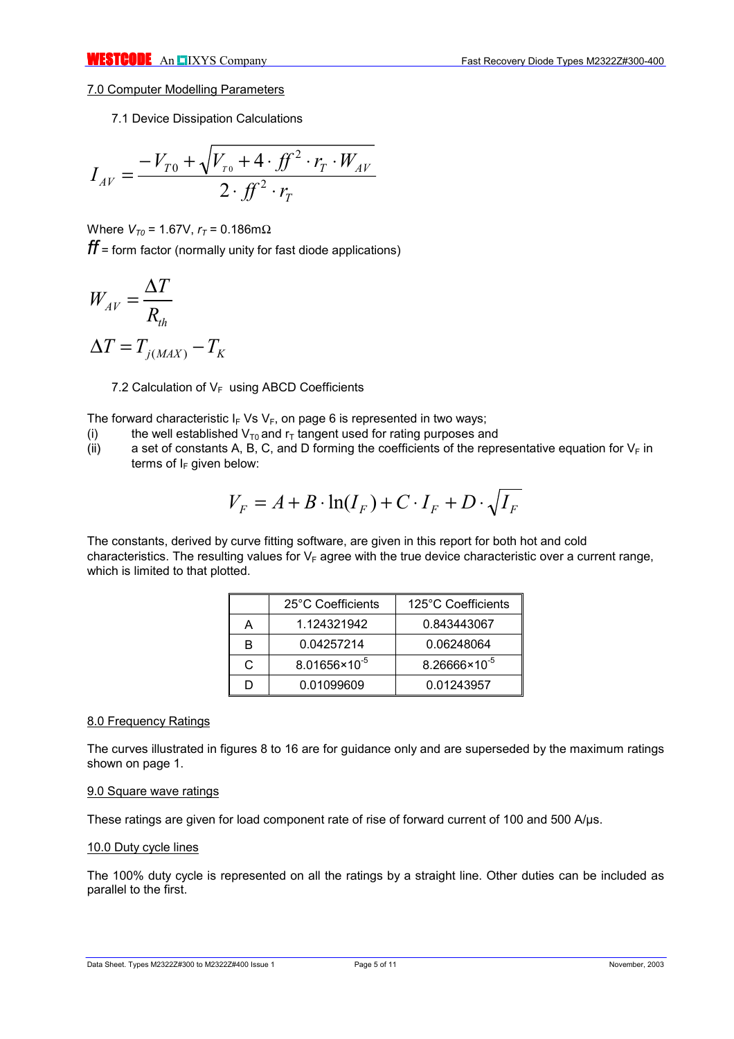## 7.0 Computer Modelling Parameters

7.1 Device Dissipation Calculations

$$
I_{AV} = \frac{-V_{T0} + \sqrt{V_{T0} + 4 \cdot f f^2 \cdot r_T \cdot W_{AV}}}{2 \cdot f f^2 \cdot r_T}
$$

Where *V*<sub>*το*</sub> = 1.67V, *r*<sub>*τ*</sub> = 0.186mΩ

*ff* = form factor (normally unity for fast diode applications)

$$
W_{AV} = \frac{\Delta T}{R_{th}}
$$

$$
\Delta T = T_{j(MAX)} - T_{}
$$

7.2 Calculation of  $V_F$  using ABCD Coefficients

*j MAX K*

The forward characteristic  $I_F V_S V_F$ , on page 6 is represented in two ways;

- (i) the well established  $V_{T0}$  and  $r_T$  tangent used for rating purposes and (ii) a set of constants A, B, C, and D forming the coefficients of the repr
- a set of constants A, B, C, and D forming the coefficients of the representative equation for  $V_F$  in terms of  $I_F$  given below:

$$
V_F = A + B \cdot \ln(I_F) + C \cdot I_F + D \cdot \sqrt{I_F}
$$

The constants, derived by curve fitting software, are given in this report for both hot and cold characteristics. The resulting values for  $V_F$  agree with the true device characteristic over a current range, which is limited to that plotted.

|   | 25°C Coefficients        | 125°C Coefficients       |
|---|--------------------------|--------------------------|
| А | 1.124321942              | 0.843443067              |
| в | 0.04257214               | 0.06248064               |
| C | $8.01656 \times 10^{-5}$ | $8.26666 \times 10^{-5}$ |
|   | 0.01099609               | 0.01243957               |

# 8.0 Frequency Ratings

The curves illustrated in figures 8 to 16 are for guidance only and are superseded by the maximum ratings shown on page 1.

## 9.0 Square wave ratings

These ratings are given for load component rate of rise of forward current of 100 and 500 A/µs.

# 10.0 Duty cycle lines

The 100% duty cycle is represented on all the ratings by a straight line. Other duties can be included as parallel to the first.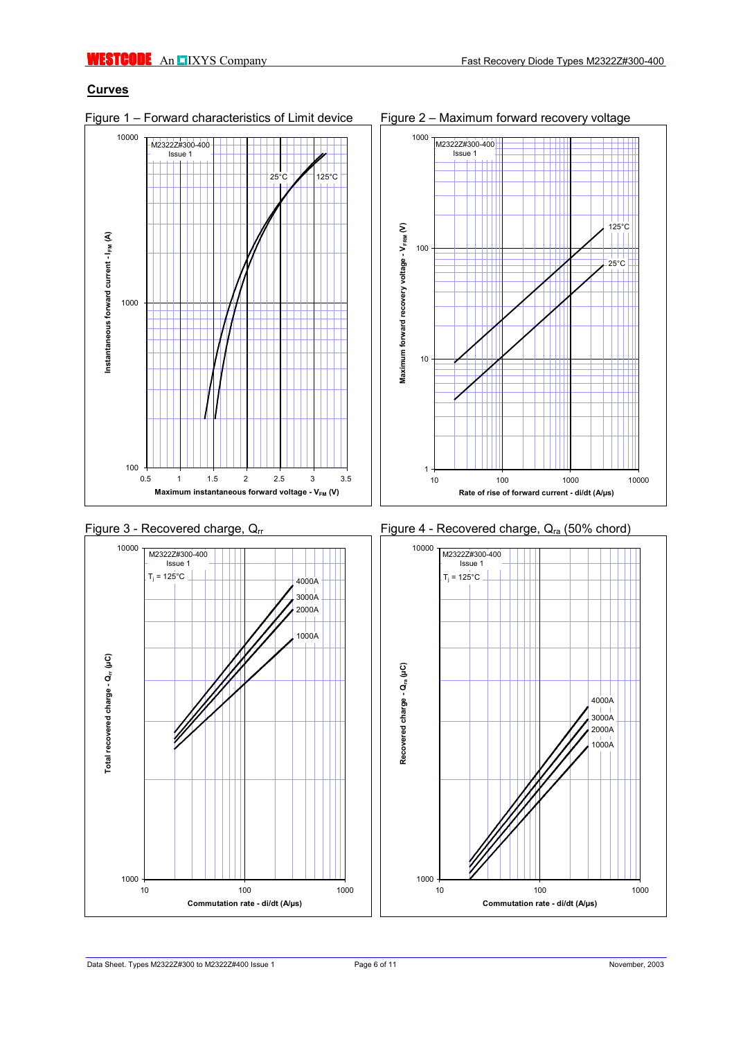# **Curves**

10000 M2322Z#300-400 Issue 1 25°C 125°C Instantaneous forward current - I<sub>FM</sub> (A) **Instantaneous forward current - IFM (A)** 1000  $100 + 0.5$ 0.5 1 1.5 2 2.5 3 3.5 **Maximum instantaneous forward voltage - V<sub>FM</sub> (V)** 











## Figure 1 – Forward characteristics of Limit device Figure 2 – Maximum forward recovery voltage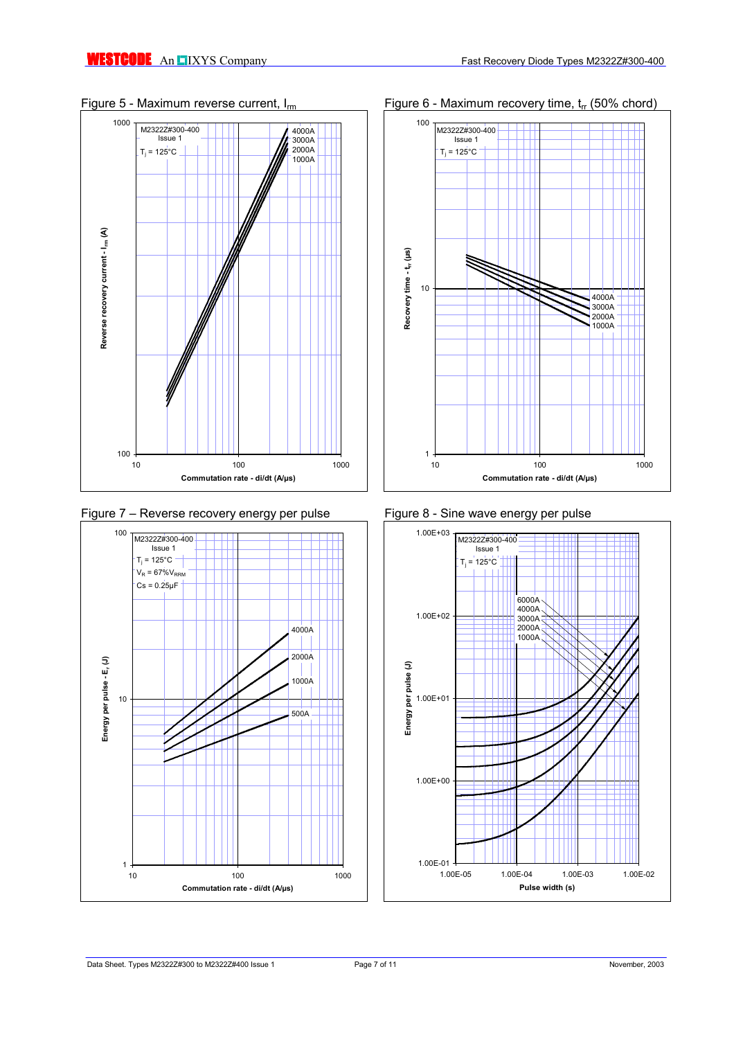











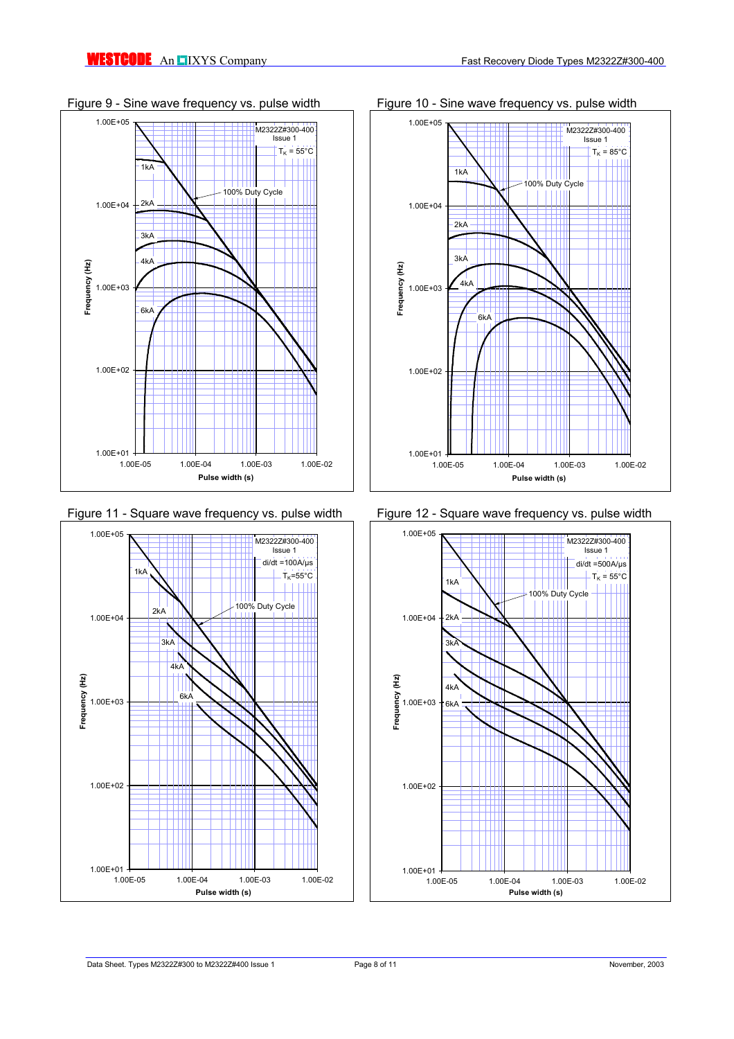



Figure 11 - Square wave frequency vs. pulse width Figure 12 - Square wave frequency vs. pulse width



Figure 9 - Sine wave frequency vs. pulse width Figure 10 - Sine wave frequency vs. pulse width



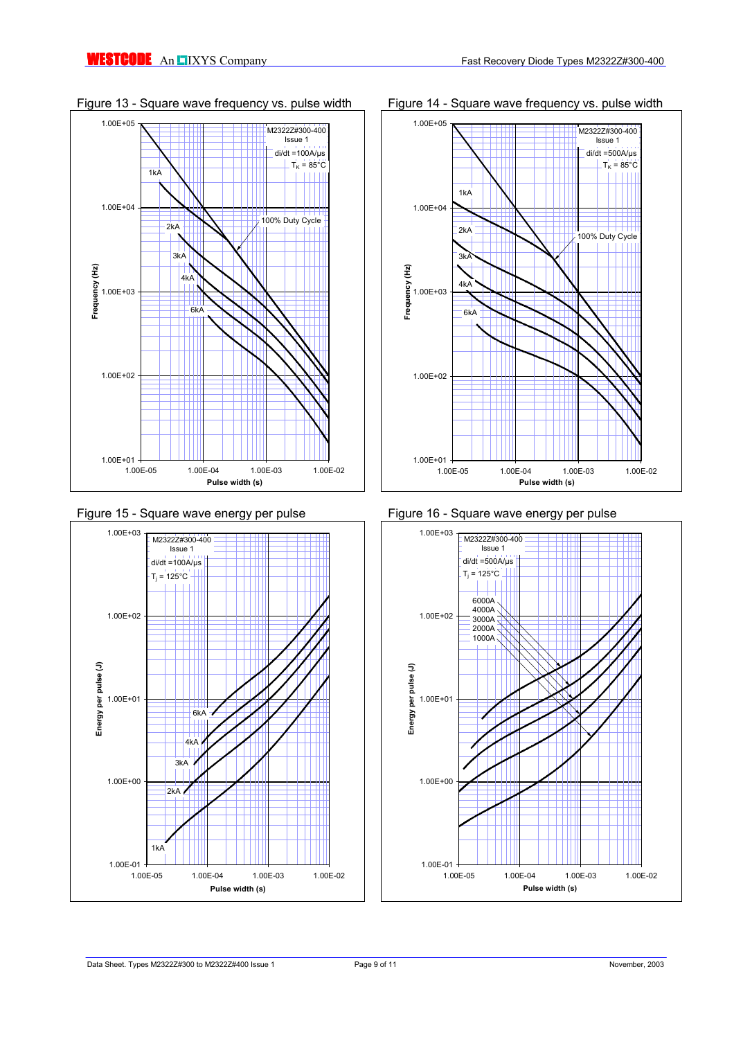













# Figure 13 - Square wave frequency vs. pulse width Figure 14 - Square wave frequency vs. pulse width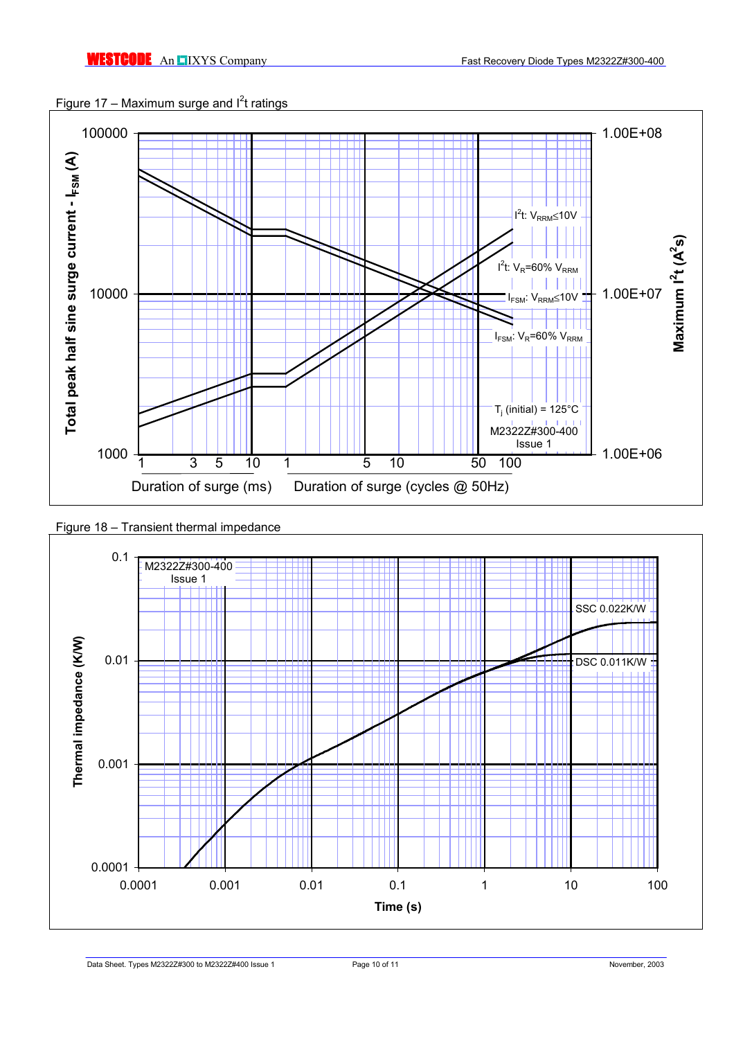



Figure 18 – Transient thermal impedance